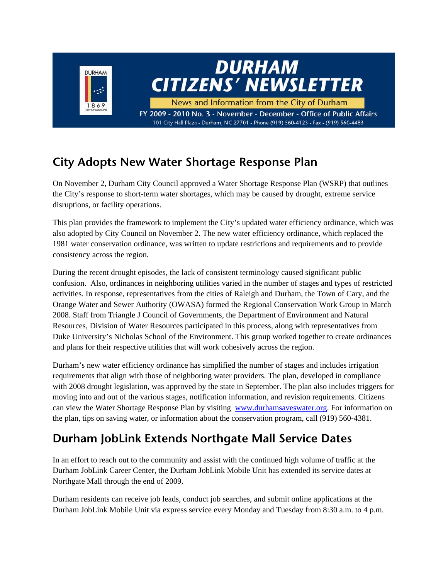

## **City Adopts New Water Shortage Response Plan**

On November 2, Durham City Council approved a Water Shortage Response Plan (WSRP) that outlines the City's response to short-term water shortages, which may be caused by drought, extreme service disruptions, or facility operations.

This plan provides the framework to implement the City's updated water efficiency ordinance, which was also adopted by City Council on November 2. The new water efficiency ordinance, which replaced the 1981 water conservation ordinance, was written to update restrictions and requirements and to provide consistency across the region.

During the recent drought episodes, the lack of consistent terminology caused significant public confusion. Also, ordinances in neighboring utilities varied in the number of stages and types of restricted activities. In response, representatives from the cities of Raleigh and Durham, the Town of Cary, and the Orange Water and Sewer Authority (OWASA) formed the Regional Conservation Work Group in March 2008. Staff from Triangle J Council of Governments, the Department of Environment and Natural Resources, Division of Water Resources participated in this process, along with representatives from Duke University's Nicholas School of the Environment. This group worked together to create ordinances and plans for their respective utilities that will work cohesively across the region.

Durham's new water efficiency ordinance has simplified the number of stages and includes irrigation requirements that align with those of neighboring water providers. The plan, developed in compliance with 2008 drought legislation, was approved by the state in September. The plan also includes triggers for moving into and out of the various stages, notification information, and revision requirements. Citizens can view the Water Shortage Response Plan by visiting www.durhamsaveswater.org. For information on the plan, tips on saving water, or information about the conservation program, call (919) 560-4381.

## **Durham JobLink Extends Northgate Mall Service Dates**

In an effort to reach out to the community and assist with the continued high volume of traffic at the Durham JobLink Career Center, the Durham JobLink Mobile Unit has extended its service dates at Northgate Mall through the end of 2009.

Durham residents can receive job leads, conduct job searches, and submit online applications at the Durham JobLink Mobile Unit via express service every Monday and Tuesday from 8:30 a.m. to 4 p.m.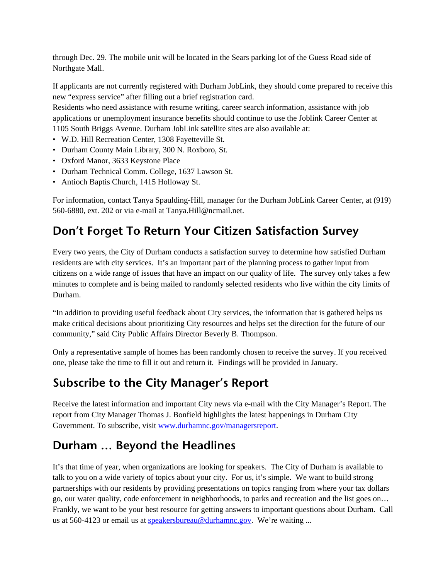through Dec. 29. The mobile unit will be located in the Sears parking lot of the Guess Road side of Northgate Mall.

If applicants are not currently registered with Durham JobLink, they should come prepared to receive this new "express service" after filling out a brief registration card.

Residents who need assistance with resume writing, career search information, assistance with job applications or unemployment insurance benefits should continue to use the Joblink Career Center at 1105 South Briggs Avenue. Durham JobLink satellite sites are also available at:

- W.D. Hill Recreation Center, 1308 Fayetteville St.
- Durham County Main Library, 300 N. Roxboro, St.
- Oxford Manor, 3633 Keystone Place
- Durham Technical Comm. College, 1637 Lawson St.
- Antioch Baptis Church, 1415 Holloway St.

For information, contact Tanya Spaulding-Hill, manager for the Durham JobLink Career Center, at (919) 560-6880, ext. 202 or via e-mail at Tanya.Hill@ncmail.net.

#### **Don't Forget To Return Your Citizen Satisfaction Survey**

Every two years, the City of Durham conducts a satisfaction survey to determine how satisfied Durham residents are with city services. It's an important part of the planning process to gather input from citizens on a wide range of issues that have an impact on our quality of life. The survey only takes a few minutes to complete and is being mailed to randomly selected residents who live within the city limits of Durham.

"In addition to providing useful feedback about City services, the information that is gathered helps us make critical decisions about prioritizing City resources and helps set the direction for the future of our community," said City Public Affairs Director Beverly B. Thompson.

Only a representative sample of homes has been randomly chosen to receive the survey. If you received one, please take the time to fill it out and return it. Findings will be provided in January.

### **Subscribe to the City Manager's Report**

Receive the latest information and important City news via e-mail with the City Manager's Report. The report from City Manager Thomas J. Bonfield highlights the latest happenings in Durham City Government. To subscribe, visit www.durhamnc.gov/managersreport.

#### **Durham … Beyond the Headlines**

It's that time of year, when organizations are looking for speakers. The City of Durham is available to talk to you on a wide variety of topics about your city. For us, it's simple. We want to build strong partnerships with our residents by providing presentations on topics ranging from where your tax dollars go, our water quality, code enforcement in neighborhoods, to parks and recreation and the list goes on… Frankly, we want to be your best resource for getting answers to important questions about Durham. Call us at 560-4123 or email us at speakersbureau@durhamnc.gov. We're waiting ...